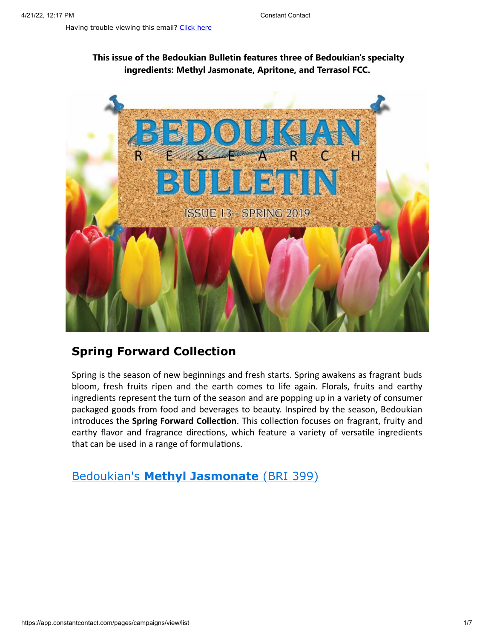## **This issue of the Bedoukian Bulletin features three of Bedoukian's specialty ingredients: Methyl Jasmonate, Apritone, and Terrasol FCC.**



# **Spring Forward Collection**

Spring is the season of new beginnings and fresh starts. Spring awakens as fragrant buds bloom, fresh fruits ripen and the earth comes to life again. Florals, fruits and earthy ingredients represent the turn of the season and are popping up in a variety of consumer packaged goods from food and beverages to beauty. Inspired by the season, Bedoukian introduces the **Spring Forward Collection**. This collection focuses on fragrant, fruity and earthy flavor and fragrance directions, which feature a variety of versatile ingredients that can be used in a range of formulations.

Bedoukian's **[Methyl Jasmonate](https://search.bedoukian.com/flavorfragrance/ff_product.asp?method=POP&id=399)** (BRI 399)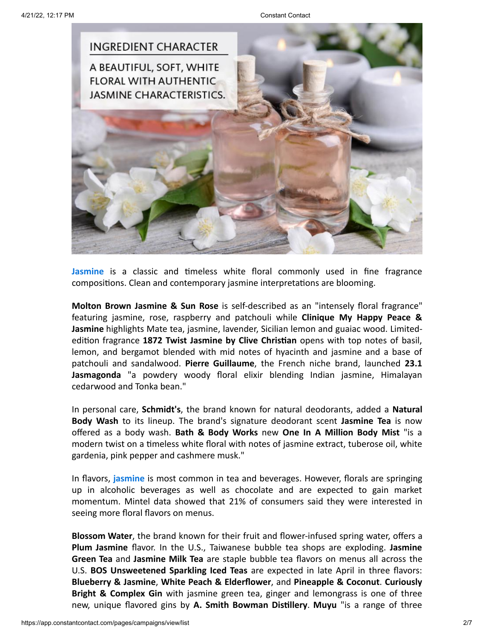

**Jasmine** is a classic and timeless white floral commonly used in fine fragrance compositions. Clean and contemporary jasmine interpretations are blooming.

**Molton Brown Jasmine & Sun Rose** is self-described as an "intensely floral fragrance" featuring jasmine, rose, raspberry and patchouli while **Clinique My Happy Peace & Jasmine** highlights Mate tea, jasmine, lavender, Sicilian lemon and guaiac wood. Limitededition fragrance **1872 Twist Jasmine by Clive Christian** opens with top notes of basil, lemon, and bergamot blended with mid notes of hyacinth and jasmine and a base of patchouli and sandalwood. **Pierre Guillaume**, the French niche brand, launched **23.1 Jasmagonda** "a powdery woody floral elixir blending Indian jasmine, Himalayan cedarwood and Tonka bean."

In personal care, **Schmidt's**, the brand known for natural deodorants, added a **Natural Body Wash** to its lineup. The brand's signature deodorant scent **Jasmine Tea** is now offered as a body wash. **Bath & Body Works** new **One In A Million Body Mist** "is a modern twist on a timeless white floral with notes of jasmine extract, tuberose oil, white gardenia, pink pepper and cashmere musk."

In flavors, **jasmine** is most common in tea and beverages. However, florals are springing up in alcoholic beverages as well as chocolate and are expected to gain market momentum. Mintel data showed that 21% of consumers said they were interested in seeing more floral flavors on menus.

**Blossom Water**, the brand known for their fruit and flower-infused spring water, offers a **Plum Jasmine** flavor. In the U.S., Taiwanese bubble tea shops are exploding. **Jasmine Green Tea** and **Jasmine Milk Tea** are staple bubble tea flavors on menus all across the U.S. **BOS Unsweetened Sparkling Iced Teas** are expected in late April in three flavors: **Blueberry & Jasmine**, **White Peach & Elderflower**, and **Pineapple & Coconut**. **Curiously Bright & Complex Gin** with jasmine green tea, ginger and lemongrass is one of three new, unique flavored gins by **A. Smith Bowman Distillery**. **Muyu** "is a range of three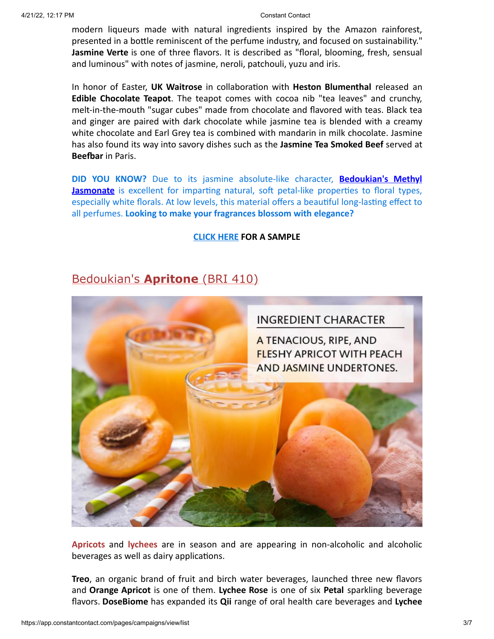modern liqueurs made with natural ingredients inspired by the Amazon rainforest, presented in a bottle reminiscent of the perfume industry, and focused on sustainability." **Jasmine Verte** is one of three flavors. It is described as "floral, blooming, fresh, sensual and luminous" with notes of jasmine, neroli, patchouli, yuzu and iris.

In honor of Easter, **UK Waitrose** in collaboration with **Heston Blumenthal** released an **Edible Chocolate Teapot**. The teapot comes with cocoa nib "tea leaves" and crunchy, melt-in-the-mouth "sugar cubes" made from chocolate and flavored with teas. Black tea and ginger are paired with dark chocolate while jasmine tea is blended with a creamy white chocolate and Earl Grey tea is combined with mandarin in milk chocolate. Jasmine has also found its way into savory dishes such as the **Jasmine Tea Smoked Beef** served at **Beefbar** in Paris.

**DID YOU KNOW?** Due to its jasmine absolute-like character, **Bedoukian's Methyl Jasmonate** [is excellent for imparting natural, soft](https://search.bedoukian.com/flavorfragrance/ff_product.asp?method=POP&id=399) petal-like properties to floral types, especially white florals. At low levels, this material offers a beautiful long-lasting effect to all perfumes. **Looking to make your fragrances blossom with elegance?**

### **[CLICK HERE](mailto:customerservice@bedoukian.com?subject=Bedoukian%20Bulletin%20-%20Spring%202019&body=Hello%2C%0A%0AI%20would%20like%20to%20request%20free%20samples%20of%20each%20product%20advertised%20in%20the%20Spring%202019%20Bedoukian%20Bulletin!) FOR A SAMPLE**

# Bedoukian's **[Apritone](https://search.bedoukian.com/flavorfragrance/ff_product.asp?method=POP&id=410)** (BRI 410)



**Apricots** and **lychees** are in season and are appearing in non-alcoholic and alcoholic beverages as well as dairy applications.

**Treo**, an organic brand of fruit and birch water beverages, launched three new flavors and **Orange Apricot** is one of them. **Lychee Rose** is one of six **Petal** sparkling beverage flavors. **DoseBiome** has expanded its **Qii** range of oral health care beverages and **Lychee**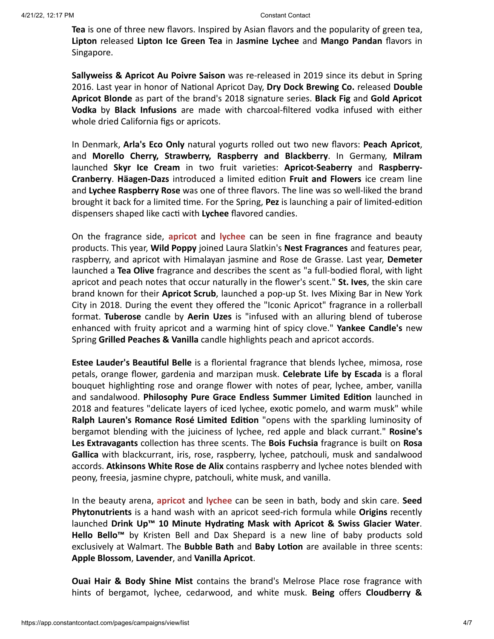**Tea** is one of three new flavors. Inspired by Asian flavors and the popularity of green tea, **Lipton** released **Lipton Ice Green Tea** in **Jasmine Lychee** and **Mango Pandan** flavors in Singapore.

**Sallyweiss & Apricot Au Poivre Saison** was re-released in 2019 since its debut in Spring 2016. Last year in honor of National Apricot Day, **Dry Dock Brewing Co.** released **Double Apricot Blonde** as part of the brand's 2018 signature series. **Black Fig** and **Gold Apricot Vodka** by **Black Infusions** are made with charcoal-filtered vodka infused with either whole dried California figs or apricots.

In Denmark, **Arla's Eco Only** natural yogurts rolled out two new flavors: **Peach Apricot**, and **Morello Cherry, Strawberry, Raspberry and Blackberry**. In Germany, **Milram** launched **Skyr Ice Cream** in two fruit varieties: **Apricot-Seaberry** and **Raspberry-Cranberry**. **Häagen-Dazs** introduced a limited edition **Fruit and Flowers** ice cream line and **Lychee Raspberry Rose** was one of three flavors. The line was so well-liked the brand brought it back for a limited time. For the Spring, **Pez** is launching a pair of limited-edition dispensers shaped like cacti with **Lychee** flavored candies.

On the fragrance side, **apricot** and **lychee** can be seen in fine fragrance and beauty products. This year, **Wild Poppy** joined Laura Slatkin's **Nest Fragrances** and features pear, raspberry, and apricot with Himalayan jasmine and Rose de Grasse. Last year, **Demeter** launched a **Tea Olive** fragrance and describes the scent as "a full-bodied floral, with light apricot and peach notes that occur naturally in the flower's scent." **St. Ives**, the skin care brand known for their **Apricot Scrub**, launched a pop-up St. Ives Mixing Bar in New York City in 2018. During the event they offered the "Iconic Apricot" fragrance in a rollerball format. **Tuberose** candle by **Aerin Uzes** is "infused with an alluring blend of tuberose enhanced with fruity apricot and a warming hint of spicy clove." **Yankee Candle's** new Spring **Grilled Peaches & Vanilla** candle highlights peach and apricot accords.

**Estee Lauder's Beautiful Belle** is a floriental fragrance that blends lychee, mimosa, rose petals, orange flower, gardenia and marzipan musk. **Celebrate Life by Escada** is a floral bouquet highlighting rose and orange flower with notes of pear, lychee, amber, vanilla and sandalwood. **Philosophy Pure Grace Endless Summer Limited Edition** launched in 2018 and features "delicate layers of iced lychee, exotic pomelo, and warm musk" while **Ralph Lauren's Romance Rosé Limited Edition** "opens with the sparkling luminosity of bergamot blending with the juiciness of lychee, red apple and black currant." **Rosine's Les Extravagants** collection has three scents. The **Bois Fuchsia** fragrance is built on **Rosa Gallica** with blackcurrant, iris, rose, raspberry, lychee, patchouli, musk and sandalwood accords. **Atkinsons White Rose de Alix** contains raspberry and lychee notes blended with peony, freesia, jasmine chypre, patchouli, white musk, and vanilla.

In the beauty arena, **apricot** and **lychee** can be seen in bath, body and skin care. **Seed Phytonutrients** is a hand wash with an apricot seed-rich formula while **Origins** recently launched **Drink Up™ 10 Minute Hydrating Mask with Apricot & Swiss Glacier Water**. **Hello Bello™** by Kristen Bell and Dax Shepard is a new line of baby products sold exclusively at Walmart. The **Bubble Bath** and **Baby Lotion** are available in three scents: **Apple Blossom**, **Lavender**, and **Vanilla Apricot**.

**Ouai Hair & Body Shine Mist** contains the brand's Melrose Place rose fragrance with hints of bergamot, lychee, cedarwood, and white musk. **Being** offers **Cloudberry &**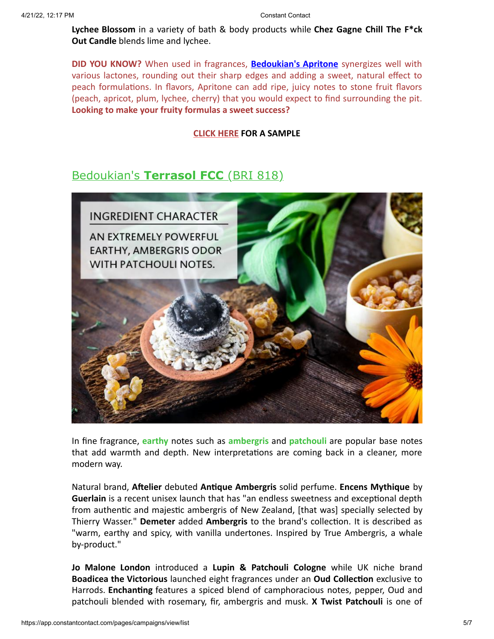**Lychee Blossom** in a variety of bath & body products while **Chez Gagne Chill The F\*ck Out Candle** blends lime and lychee.

**DID YOU KNOW?** When used in fragrances, **[Bedoukian's Apritone](https://bedoukian.com/wp-content/uploads/ApritoneAccords.pdf)** synergizes well with various lactones, rounding out their sharp edges and adding a sweet, natural effect to peach formulations. In flavors, Apritone can add ripe, juicy notes to stone fruit flavors (peach, apricot, plum, lychee, cherry) that you would expect to find surrounding the pit. **Looking to make your fruity formulas a sweet success?**

## **[CLICK HERE](mailto:customerservice@bedoukian.com?subject=Bedoukian%20Bulletin%20-%20Spring%202019&body=Hello%2C%0A%0AI%20would%20like%20to%20request%20free%20samples%20of%20each%20product%20advertised%20in%20the%20Spring%202019%20Bedoukian%20Bulletin!) FOR A SAMPLE**

# Bedoukian's **[Terrasol FCC](https://search.bedoukian.com/flavorfragrance/ff_product.asp?method=POP&id=818)** (BRI 818)



In fine fragrance, **earthy** notes such as **ambergris** and **patchouli** are popular base notes that add warmth and depth. New interpretations are coming back in a cleaner, more modern way.

Natural brand, **Aftelier** debuted **Antique Ambergris** solid perfume. **Encens Mythique** by **Guerlain** is a recent unisex launch that has "an endless sweetness and exceptional depth from authentic and majestic ambergris of New Zealand, [that was] specially selected by Thierry Wasser." **Demeter** added **Ambergris** to the brand's collection. It is described as "warm, earthy and spicy, with vanilla undertones. Inspired by True Ambergris, a whale by-product."

**Jo Malone London** introduced a **Lupin & Patchouli Cologne** while UK niche brand **Boadicea the Victorious** launched eight fragrances under an **Oud Collection** exclusive to Harrods. **Enchanting** features a spiced blend of camphoracious notes, pepper, Oud and patchouli blended with rosemary, fir, ambergris and musk. **X Twist Patchouli** is one of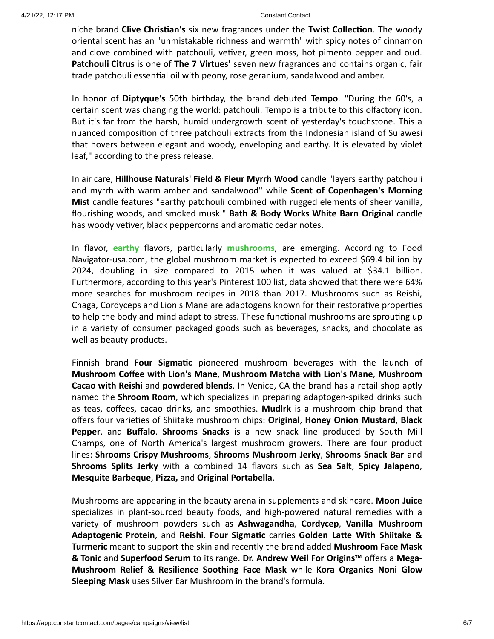niche brand **Clive Christian's** six new fragrances under the **Twist Collection**. The woody oriental scent has an "unmistakable richness and warmth" with spicy notes of cinnamon and clove combined with patchouli, vetiver, green moss, hot pimento pepper and oud. **Patchouli Citrus** is one of **The 7 Virtues'** seven new fragrances and contains organic, fair trade patchouli essential oil with peony, rose geranium, sandalwood and amber.

In honor of **Diptyque's** 50th birthday, the brand debuted **Tempo**. "During the 60's, a certain scent was changing the world: patchouli. Tempo is a tribute to this olfactory icon. But it's far from the harsh, humid undergrowth scent of yesterday's touchstone. This a nuanced composition of three patchouli extracts from the Indonesian island of Sulawesi that hovers between elegant and woody, enveloping and earthy. It is elevated by violet leaf," according to the press release.

In air care, **Hillhouse Naturals' Field & Fleur Myrrh Wood** candle "layers earthy patchouli and myrrh with warm amber and sandalwood" while **Scent of Copenhagen's Morning Mist** candle features "earthy patchouli combined with rugged elements of sheer vanilla, flourishing woods, and smoked musk." **Bath & Body Works White Barn Original** candle has woody vetiver, black peppercorns and aromatic cedar notes.

In flavor, **earthy** flavors, particularly **mushrooms**, are emerging. According to Food Navigator-usa.com, the global mushroom market is expected to exceed \$69.4 billion by 2024, doubling in size compared to 2015 when it was valued at \$34.1 billion. Furthermore, according to this year's Pinterest 100 list, data showed that there were 64% more searches for mushroom recipes in 2018 than 2017. Mushrooms such as Reishi, Chaga, Cordyceps and Lion's Mane are adaptogens known for their restorative properties to help the body and mind adapt to stress. These functional mushrooms are sprouting up in a variety of consumer packaged goods such as beverages, snacks, and chocolate as well as beauty products.

Finnish brand **Four Sigmatic** pioneered mushroom beverages with the launch of **Mushroom Coffee with Lion's Mane**, **Mushroom Matcha with Lion's Mane**, **Mushroom Cacao with Reishi** and **powdered blends**. In Venice, CA the brand has a retail shop aptly named the **Shroom Room**, which specializes in preparing adaptogen-spiked drinks such as teas, coffees, cacao drinks, and smoothies. **Mudlrk** is a mushroom chip brand that offers four varieties of Shiitake mushroom chips: **Original**, **Honey Onion Mustard**, **Black Pepper**, and **Buffalo**. **Shrooms Snacks** is a new snack line produced by South Mill Champs, one of North America's largest mushroom growers. There are four product lines: **Shrooms Crispy Mushrooms**, **Shrooms Mushroom Jerky**, **Shrooms Snack Bar** and **Shrooms Splits Jerky** with a combined 14 flavors such as **Sea Salt**, **Spicy Jalapeno**, **Mesquite Barbeque**, **Pizza,** and **Original Portabella**.

Mushrooms are appearing in the beauty arena in supplements and skincare. **Moon Juice** specializes in plant-sourced beauty foods, and high-powered natural remedies with a variety of mushroom powders such as **Ashwagandha**, **Cordycep**, **Vanilla Mushroom Adaptogenic Protein**, and **Reishi**. **Four Sigmatic** carries **Golden Latte With Shiitake & Turmeric** meant to support the skin and recently the brand added **Mushroom Face Mask & Tonic** and **Superfood Serum** to its range. **Dr. Andrew Weil For Origins™** offers a **Mega-Mushroom Relief & Resilience Soothing Face Mask** while **Kora Organics Noni Glow Sleeping Mask** uses Silver Ear Mushroom in the brand's formula.